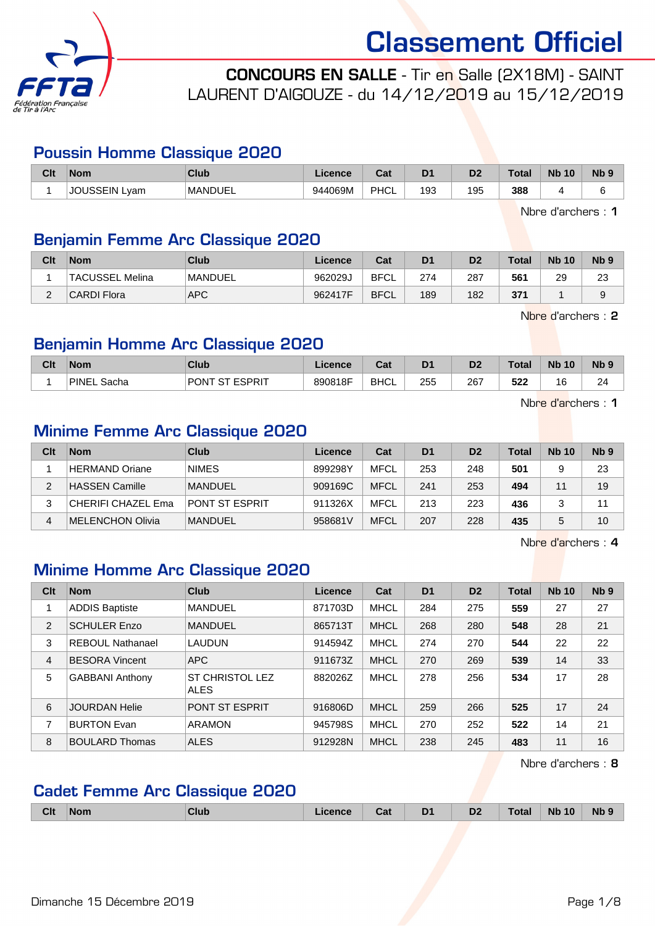

CONCOURS EN SALLE - Tir en Salle (2X18M) - SAINT LAURENT D'AIGOUZE - du 14/12/2019 au 15/12/2019

#### Poussin Homme Classique 2020

| Clt | <b>Nom</b>             | Club           | Licence | ◠∼<br>⊍aι | D <sub>1</sub> | D <sub>2</sub> | Total | <b>N<sub>b</sub></b><br>10 | $Nb$ ? |
|-----|------------------------|----------------|---------|-----------|----------------|----------------|-------|----------------------------|--------|
|     | <b>JSSEIN'</b><br>Lyam | <b>MANDUEL</b> | 944069M | PHCL      | 193            | 195            | 388   |                            |        |

Nbre d'archers : 1

#### Benjamin Femme Arc Classique 2020

| Clt      | <b>Nom</b>         | Club           | Licence | Cat         | D <sub>1</sub> | D <sub>2</sub> | <b>Total</b> | <b>Nb 10</b> | N <sub>b</sub> <sub>9</sub> |
|----------|--------------------|----------------|---------|-------------|----------------|----------------|--------------|--------------|-----------------------------|
|          | TACUSSEL Melina    | <b>MANDUEL</b> | 962029J | <b>BFCL</b> | 274            | 287            | 561          | 29           | 23                          |
| $\Omega$ | <b>CARDI Flora</b> | <b>APC</b>     | 962417F | <b>BFCL</b> | 189            | 182            | 371          |              |                             |

Nbre d'archers : 2

#### Benjamin Homme Arc Classique 2020

| Clt | <b>Nom</b>     | Club                              | .icence | Col.<br>val | D <sub>1</sub> | D <sub>2</sub> | <b>Total</b> | <b>N<sub>b</sub></b><br>10 | <b>N<sub>b</sub></b> |
|-----|----------------|-----------------------------------|---------|-------------|----------------|----------------|--------------|----------------------------|----------------------|
|     | PINE.<br>Sacha | <b>ESPRIT</b><br>PON <sup>-</sup> | 890818F | <b>BHCL</b> | 255            | 267            | よつつ<br>322   | $\sim$<br>16               | $\sim$<br>-          |

Nbre d'archers : 1

#### Minime Femme Arc Classique 2020

| Clt | <b>Nom</b>         | Club           | Licence | Cat         | D <sub>1</sub> | D <sub>2</sub> | <b>Total</b> | <b>Nb 10</b> | N <sub>b</sub> <sub>9</sub> |
|-----|--------------------|----------------|---------|-------------|----------------|----------------|--------------|--------------|-----------------------------|
|     | HERMAND Oriane     | <b>NIMES</b>   | 899298Y | <b>MFCL</b> | 253            | 248            | 501          |              | 23                          |
| 2   | HASSEN Camille     | <b>MANDUEL</b> | 909169C | <b>MFCL</b> | 241            | 253            | 494          | 11           | 19                          |
| 3   | CHERIFI CHAZEL Ema | PONT ST ESPRIT | 911326X | <b>MFCL</b> | 213            | 223            | 436          |              | 11                          |
| 4   | MELENCHON Olivia   | <b>MANDUEL</b> | 958681V | <b>MFCL</b> | 207            | 228            | 435          |              | 10                          |

Nbre d'archers : 4

### Minime Homme Arc Classique 2020

| Clt | <b>Nom</b>              | Club                    | Licence | Cat         | D <sub>1</sub> | D <sub>2</sub> | <b>Total</b> | <b>Nb 10</b> | Nb <sub>9</sub> |
|-----|-------------------------|-------------------------|---------|-------------|----------------|----------------|--------------|--------------|-----------------|
|     | <b>ADDIS Baptiste</b>   | <b>MANDUEL</b>          | 871703D | <b>MHCL</b> | 284            | 275            | 559          | 27           | 27              |
| 2   | <b>SCHULER Enzo</b>     | <b>MANDUEL</b>          | 865713T | <b>MHCL</b> | 268            | 280            | 548          | 28           | 21              |
| 3   | <b>REBOUL Nathanael</b> | LAUDUN                  | 914594Z | <b>MHCL</b> | 274            | 270            | 544          | 22           | 22              |
| 4   | <b>BESORA Vincent</b>   | <b>APC</b>              | 911673Z | <b>MHCL</b> | 270            | 269            | 539          | 14           | 33              |
| 5   | <b>GABBANI Anthony</b>  | ST CHRISTOL LEZ<br>ALES | 882026Z | <b>MHCL</b> | 278            | 256            | 534          | 17           | 28              |
| 6   | <b>JOURDAN Helie</b>    | <b>PONT ST ESPRIT</b>   | 916806D | <b>MHCL</b> | 259            | 266            | 525          | 17           | 24              |
| 7   | <b>BURTON Evan</b>      | <b>ARAMON</b>           | 945798S | <b>MHCL</b> | 270            | 252            | 522          | 14           | 21              |
| 8   | <b>BOULARD Thomas</b>   | <b>ALES</b>             | 912928N | <b>MHCL</b> | 238            | 245            | 483          | 11           | 16              |

Nbre d'archers : 8

#### Cadet Femme Arc Classique 2020

|  | <b>Clt</b> | <b>Nom</b> | <b>Club</b> |  | Cal | D <sub>1</sub><br>-<br>__ | D <sub>2</sub> | $-1-$<br>ota | 10<br><b>N<sub>b</sub></b> | <b>Nb</b> |
|--|------------|------------|-------------|--|-----|---------------------------|----------------|--------------|----------------------------|-----------|
|--|------------|------------|-------------|--|-----|---------------------------|----------------|--------------|----------------------------|-----------|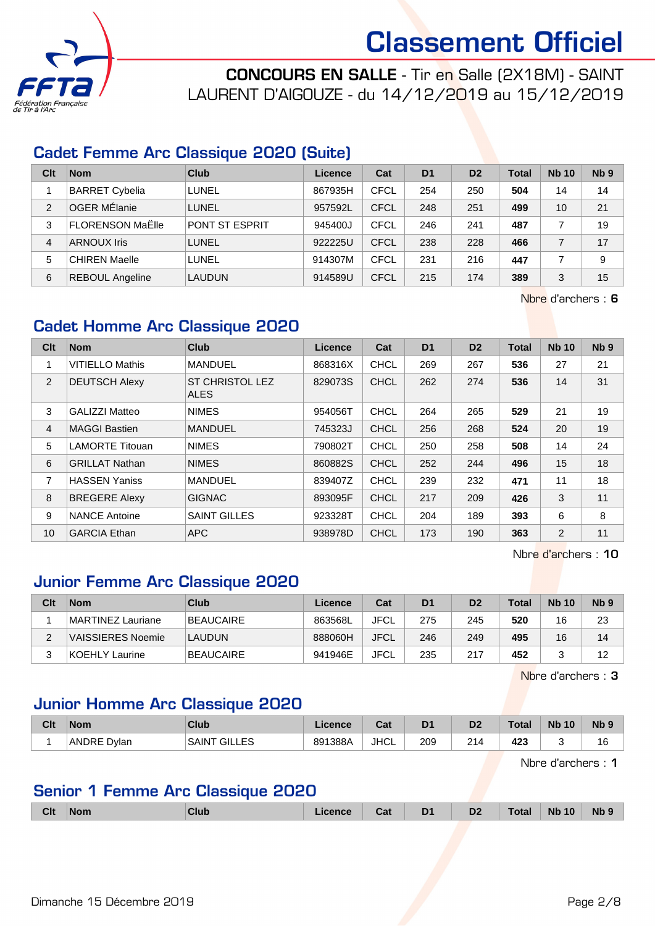

CONCOURS EN SALLE - Tir en Salle (2X18M) - SAINT LAURENT D'AIGOUZE - du 14/12/2019 au 15/12/2019

#### Cadet Femme Arc Classique 2020 (Suite)

| Clt            | <b>Nom</b>              | Club                  | Licence | Cat         | D <sub>1</sub> | D <sub>2</sub> | Total | <b>Nb 10</b> | Nb <sub>9</sub> |
|----------------|-------------------------|-----------------------|---------|-------------|----------------|----------------|-------|--------------|-----------------|
|                | <b>BARRET Cybelia</b>   | LUNEL                 | 867935H | CFCL        | 254            | 250            | 504   | 14           | 14              |
| $\overline{2}$ | <b>OGER MÉlanie</b>     | <b>LUNEL</b>          | 957592L | CFCL        | 248            | 251            | 499   | 10           | 21              |
| 3              | <b>FLORENSON MaËlle</b> | <b>PONT ST ESPRIT</b> | 945400J | <b>CFCL</b> | 246            | 241            | 487   |              | 19              |
| 4              | <b>ARNOUX Iris</b>      | LUNEL                 | 922225U | CFCL        | 238            | 228            | 466   |              | 17              |
| 5              | <b>CHIREN Maelle</b>    | LUNEL                 | 914307M | CFCL        | 231            | 216            | 447   |              | 9               |
| 6              | <b>REBOUL Angeline</b>  | <b>LAUDUN</b>         | 914589U | <b>CFCL</b> | 215            | 174            | 389   | 3            | 15              |

Nbre d'archers : 6

#### Cadet Homme Arc Classique 2020

| Clt            | <b>Nom</b>             | <b>Club</b>                           | Licence | Cat         | D <sub>1</sub> | D <sub>2</sub> | <b>Total</b> | <b>Nb 10</b> | N <sub>b</sub> <sub>9</sub> |
|----------------|------------------------|---------------------------------------|---------|-------------|----------------|----------------|--------------|--------------|-----------------------------|
| 1              | <b>VITIELLO Mathis</b> | <b>MANDUEL</b>                        | 868316X | <b>CHCL</b> | 269            | 267            | 536          | 27           | 21                          |
| 2              | <b>DEUTSCH Alexy</b>   | <b>ST CHRISTOL LEZ</b><br><b>ALES</b> | 829073S | <b>CHCL</b> | 262            | 274            | 536          | 14           | 31                          |
| 3              | <b>GALIZZI Matteo</b>  | <b>NIMES</b>                          | 954056T | <b>CHCL</b> | 264            | 265            | 529          | 21           | 19                          |
| $\overline{4}$ | <b>MAGGI Bastien</b>   | <b>MANDUEL</b>                        | 745323J | <b>CHCL</b> | 256            | 268            | 524          | 20           | 19                          |
| 5              | <b>LAMORTE Titouan</b> | <b>NIMES</b>                          | 790802T | <b>CHCL</b> | 250            | 258            | 508          | 14           | 24                          |
| 6              | <b>GRILLAT Nathan</b>  | <b>NIMES</b>                          | 860882S | <b>CHCL</b> | 252            | 244            | 496          | 15           | 18                          |
| 7              | <b>HASSEN Yaniss</b>   | <b>MANDUEL</b>                        | 839407Z | <b>CHCL</b> | 239            | 232            | 471          | 11           | 18                          |
| 8              | <b>BREGERE Alexy</b>   | <b>GIGNAC</b>                         | 893095F | <b>CHCL</b> | 217            | 209            | 426          | 3            | 11                          |
| 9              | <b>NANCE Antoine</b>   | <b>SAINT GILLES</b>                   | 923328T | <b>CHCL</b> | 204            | 189            | 393          | 6            | 8                           |
| 10             | <b>GARCIA Ethan</b>    | <b>APC</b>                            | 938978D | <b>CHCL</b> | 173            | 190            | 363          | 2            | 11                          |

Nbre d'archers : 10

#### Junior Femme Arc Classique 2020

| Clt | <b>Nom</b>               | Club          | Licence | Cat  | D <sub>1</sub> | D <sub>2</sub> | <b>Total</b> | <b>Nb 10</b> | Nb <sub>9</sub> |
|-----|--------------------------|---------------|---------|------|----------------|----------------|--------------|--------------|-----------------|
|     | MARTINEZ Lauriane        | BEAUCAIRE     | 863568L | JFCL | 275            | 245            | 520          | 16           | 23              |
|     | <b>VAISSIERES Noemie</b> | <b>LAUDUN</b> | 888060H | JFCL | 246            | 249            | 495          | 16           | 14              |
|     | KOEHLY Laurine_          | BEAUCAIRE     | 941946E | JFCL | 235            | 217            | 452          |              | 12              |

Nbre d'archers : 3

#### Junior Homme Arc Classique 2020

| Clt | Nom            | Club                         | icence  | ่ ี่ ี่ ่า ่<br>⊍a | D <sub>1</sub> | D <sub>2</sub> | Total | <b>Nb</b><br>10 | <b>N<sub>b</sub></b> |
|-----|----------------|------------------------------|---------|--------------------|----------------|----------------|-------|-----------------|----------------------|
|     | ANDRE<br>Dvlan | <b>GILLES</b><br><b>SAIN</b> | 891388A | <b>JHCL</b>        | 209            | 214            | 423   |                 | ιo                   |

Nbre d'archers : 1

#### Senior 1 Femme Arc Classique 2020

|  | Clt | <b>Nom</b> | <b>Club</b> |  | <b>TABLE</b><br>ud | D <sub>1</sub><br> | D <sub>2</sub> | ota <sup>.</sup> | <b>Nb 10</b> | <b>N<sub>b</sub></b> |  |
|--|-----|------------|-------------|--|--------------------|--------------------|----------------|------------------|--------------|----------------------|--|
|--|-----|------------|-------------|--|--------------------|--------------------|----------------|------------------|--------------|----------------------|--|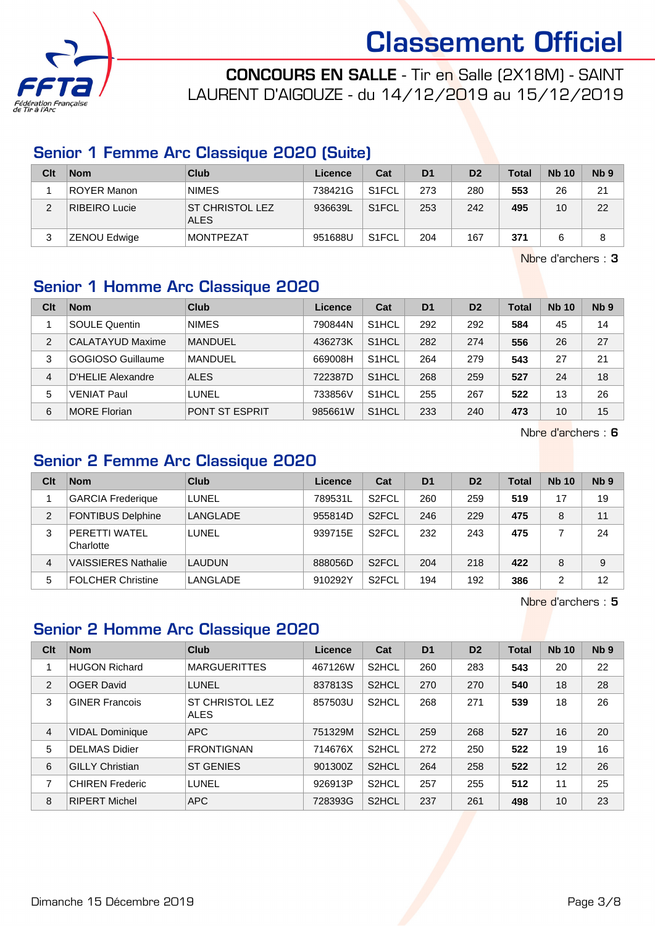

CONCOURS EN SALLE - Tir en Salle (2X18M) - SAINT LAURENT D'AIGOUZE - du 14/12/2019 au 15/12/2019

#### Senior 1 Femme Arc Classique 2020 (Suite)

| Clt | <b>Nom</b>           | <b>Club</b>                           | Licence | Cat                | D <sub>1</sub> | D <sub>2</sub> | <b>Total</b> | <b>Nb 10</b> | N <sub>b</sub> <sub>9</sub> |
|-----|----------------------|---------------------------------------|---------|--------------------|----------------|----------------|--------------|--------------|-----------------------------|
|     | <b>ROYER Manon</b>   | <b>NIMES</b>                          | 738421G | S <sub>1</sub> FCL | 273            | 280            | 553          | 26           | 21                          |
| ◠   | <b>RIBEIRO Lucie</b> | <b>ST CHRISTOL LEZ</b><br><b>ALES</b> | 936639L | S <sub>1</sub> FCL | 253            | 242            | 495          | 10           | 22                          |
|     | ZENOU Edwige         | <b>MONTPEZAT</b>                      | 951688U | S <sub>1</sub> FCL | 204            | 167            | 371          |              |                             |

Nbre d'archers : 3

### Senior 1 Homme Arc Classique 2020

| Clt            | <b>Nom</b>           | Club                  | Licence | Cat                | D <sub>1</sub> | D <sub>2</sub> | Total | <b>Nb 10</b> | N <sub>b</sub> <sub>9</sub> |
|----------------|----------------------|-----------------------|---------|--------------------|----------------|----------------|-------|--------------|-----------------------------|
|                | <b>SOULE Quentin</b> | <b>NIMES</b>          | 790844N | S <sub>1</sub> HCL | 292            | 292            | 584   | 45           | 14                          |
| $\overline{2}$ | CALATAYUD Maxime     | <b>MANDUEL</b>        | 436273K | S <sub>1</sub> HCL | 282            | 274            | 556   | 26           | 27                          |
| 3              | GOGIOSO Guillaume    | MANDUEL               | 669008H | S <sub>1</sub> HCL | 264            | 279            | 543   | 27           | 21                          |
| 4              | D'HELIE Alexandre    | <b>ALES</b>           | 722387D | S <sub>1</sub> HCL | 268            | 259            | 527   | 24           | 18                          |
| 5              | <b>VENIAT Paul</b>   | LUNEL                 | 733856V | S <sub>1</sub> HCL | 255            | 267            | 522   | 13           | 26                          |
| 6              | <b>MORE Florian</b>  | <b>PONT ST ESPRIT</b> | 985661W | S <sub>1</sub> HCL | 233            | 240            | 473   | 10           | 15                          |

Nbre d'archers : 6

#### Senior 2 Femme Arc Classique 2020

| Clt | <b>Nom</b>                 | Club          | Licence | Cat                | D <sub>1</sub> | D <sub>2</sub> | Total | <b>Nb 10</b> | N <sub>b</sub> <sub>9</sub> |
|-----|----------------------------|---------------|---------|--------------------|----------------|----------------|-------|--------------|-----------------------------|
|     | <b>GARCIA Frederique</b>   | LUNEL         | 789531L | S <sub>2</sub> FCL | 260            | 259            | 519   | 17           | 19                          |
| 2   | FONTIBUS Delphine          | LANGLADE      | 955814D | S <sub>2</sub> FCL | 246            | 229            | 475   | 8            | 11                          |
| 3   | PERETTI WATEL<br>Charlotte | LUNEL         | 939715E | S <sub>2</sub> FCL | 232            | 243            | 475   |              | 24                          |
| 4   | <b>VAISSIERES Nathalie</b> | <b>LAUDUN</b> | 888056D | S <sub>2</sub> FCL | 204            | 218            | 422   | 8            | 9                           |
| 5   | FOLCHER Christine          | LANGLADE      | 910292Y | S <sub>2</sub> FCL | 194            | 192            | 386   | 2            | 12                          |

Nbre d'archers : 5

### Senior 2 Homme Arc Classique 2020

| Clt | <b>Nom</b>             | <b>Club</b>                           | Licence | Cat                | D <sub>1</sub> | D <sub>2</sub> | Total | <b>Nb 10</b> | N <sub>b</sub> <sub>9</sub> |
|-----|------------------------|---------------------------------------|---------|--------------------|----------------|----------------|-------|--------------|-----------------------------|
| 1   | <b>HUGON Richard</b>   | <b>MARGUERITTES</b>                   | 467126W | S <sub>2</sub> HCL | 260            | 283            | 543   | 20           | 22                          |
| 2   | <b>OGER David</b>      | <b>LUNEL</b>                          | 837813S | S <sub>2</sub> HCL | 270            | 270            | 540   | 18           | 28                          |
| 3   | <b>GINER Francois</b>  | <b>ST CHRISTOL LEZ</b><br><b>ALES</b> | 857503U | S <sub>2</sub> HCL | 268            | 271            | 539   | 18           | 26                          |
| 4   | <b>VIDAL Dominique</b> | <b>APC</b>                            | 751329M | S <sub>2</sub> HCL | 259            | 268            | 527   | 16           | 20                          |
| 5   | DELMAS Didier          | <b>FRONTIGNAN</b>                     | 714676X | S <sub>2</sub> HCL | 272            | 250            | 522   | 19           | 16                          |
| 6   | <b>GILLY Christian</b> | <b>ST GENIES</b>                      | 901300Z | S <sub>2</sub> HCL | 264            | 258            | 522   | 12           | 26                          |
| 7   | <b>CHIREN Frederic</b> | LUNEL                                 | 926913P | S <sub>2</sub> HCL | 257            | 255            | 512   | 11           | 25                          |
| 8   | <b>RIPERT Michel</b>   | <b>APC</b>                            | 728393G | S <sub>2</sub> HCL | 237            | 261            | 498   | 10           | 23                          |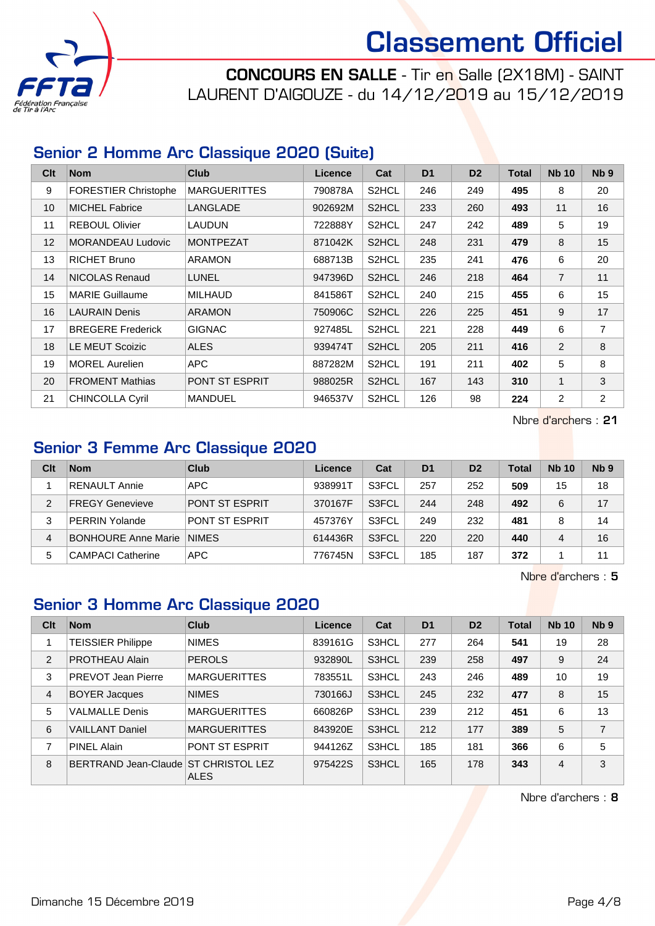

CONCOURS EN SALLE - Tir en Salle (2X18M) - SAINT LAURENT D'AIGOUZE - du 14/12/2019 au 15/12/2019

#### Senior 2 Homme Arc Classique 2020 (Suite)

| Clt | <b>Nom</b>                  | <b>Club</b>           | <b>Licence</b> | Cat                | D <sub>1</sub> | D <sub>2</sub> | <b>Total</b> | <b>Nb 10</b>   | Nb <sub>9</sub> |
|-----|-----------------------------|-----------------------|----------------|--------------------|----------------|----------------|--------------|----------------|-----------------|
| 9   | <b>FORESTIER Christophe</b> | <b>MARGUERITTES</b>   | 790878A        | S2HCL              | 246            | 249            | 495          | 8              | 20              |
| 10  | <b>MICHEL Fabrice</b>       | LANGLADE              | 902692M        | S2HCL              | 233            | 260            | 493          | 11             | 16              |
| 11  | <b>REBOUL Olivier</b>       | LAUDUN                | 722888Y        | S2HCL              | 247            | 242            | 489          | 5              | 19              |
| 12  | <b>MORANDEAU Ludovic</b>    | <b>MONTPEZAT</b>      | 871042K        | S2HCL              | 248            | 231            | 479          | 8              | 15              |
| 13  | <b>RICHET Bruno</b>         | ARAMON                | 688713B        | S2HCL              | 235            | 241            | 476          | 6              | 20              |
| 14  | NICOLAS Renaud              | <b>LUNEL</b>          | 947396D        | S2HCL              | 246            | 218            | 464          | $\overline{7}$ | 11              |
| 15  | <b>MARIE Guillaume</b>      | <b>MILHAUD</b>        | 841586T        | S <sub>2</sub> HCL | 240            | 215            | 455          | 6              | 15              |
| 16  | <b>LAURAIN Denis</b>        | <b>ARAMON</b>         | 750906C        | S <sub>2</sub> HCL | 226            | 225            | 451          | 9              | 17              |
| 17  | <b>BREGERE Frederick</b>    | <b>GIGNAC</b>         | 927485L        | S2HCL              | 221            | 228            | 449          | 6              | 7               |
| 18  | <b>LE MEUT Scoizic</b>      | <b>ALES</b>           | 939474T        | S2HCL              | 205            | 211            | 416          | 2              | 8               |
| 19  | <b>MOREL Aurelien</b>       | APC                   | 887282M        | S2HCL              | 191            | 211            | 402          | 5              | 8               |
| 20  | <b>FROMENT Mathias</b>      | <b>PONT ST ESPRIT</b> | 988025R        | S2HCL              | 167            | 143            | 310          | $\mathbf{1}$   | 3               |
| 21  | <b>CHINCOLLA Cyril</b>      | <b>MANDUEL</b>        | 946537V        | S2HCL              | 126            | 98             | 224          | $\overline{2}$ | $\overline{2}$  |

Nbre d'archers : 21

# Senior 3 Femme Arc Classique 2020

| Clt | <b>Nom</b>                 | Club                  | Licence | Cat   | D <sub>1</sub> | D <sub>2</sub> | <b>Total</b> | <b>Nb 10</b> | N <sub>b</sub> <sub>9</sub> |
|-----|----------------------------|-----------------------|---------|-------|----------------|----------------|--------------|--------------|-----------------------------|
|     | <b>RENAULT Annie</b>       | APC                   | 938991T | S3FCL | 257            | 252            | 509          | 15           | 18                          |
| 2   | <b>FREGY Genevieve</b>     | PONT ST ESPRIT        | 370167F | S3FCL | 244            | 248            | 492          | 6            | 17                          |
| 3   | <b>PERRIN Yolande</b>      | <b>PONT ST ESPRIT</b> | 457376Y | S3FCL | 249            | 232            | 481          |              | 14                          |
| 4   | <b>BONHOURE Anne Marie</b> | <b>NIMES</b>          | 614436R | S3FCL | 220            | 220            | 440          | 4            | 16                          |
| 5   | <b>CAMPACI Catherine</b>   | <b>APC</b>            | 776745N | S3FCL | 185            | 187            | 372          |              | 11                          |

Nbre d'archers : 5

### Senior 3 Homme Arc Classique 2020

| Clt            | <b>Nom</b>                           | <b>Club</b>           | Licence | Cat   | D <sub>1</sub> | D <sub>2</sub> | <b>Total</b> | <b>Nb 10</b>   | Nb <sub>9</sub> |
|----------------|--------------------------------------|-----------------------|---------|-------|----------------|----------------|--------------|----------------|-----------------|
|                | <b>TEISSIER Philippe</b>             | <b>NIMES</b>          | 839161G | S3HCL | 277            | 264            | 541          | 19             | 28              |
| $\overline{2}$ | PROTHEAU Alain                       | <b>PEROLS</b>         | 932890L | S3HCL | 239            | 258            | 497          | 9              | 24              |
| 3              | <b>PREVOT Jean Pierre</b>            | <b>MARGUERITTES</b>   | 783551L | S3HCL | 243            | 246            | 489          | 10             | 19              |
| 4              | <b>BOYER Jacques</b>                 | <b>NIMES</b>          | 730166J | S3HCL | 245            | 232            | 477          | 8              | 15              |
| 5              | <b>VALMALLE Denis</b>                | <b>MARGUERITTES</b>   | 660826P | S3HCL | 239            | 212            | 451          | 6              | 13              |
| 6              | <b>VAILLANT Daniel</b>               | <b>MARGUERITTES</b>   | 843920E | S3HCL | 212            | 177            | 389          | 5              | $\overline{7}$  |
| 7              | PINEL Alain                          | <b>PONT ST ESPRIT</b> | 944126Z | S3HCL | 185            | 181            | 366          | 6              | 5               |
| 8              | BERTRAND Jean-Claude ST CHRISTOL LEZ | <b>ALES</b>           | 975422S | S3HCL | 165            | 178            | 343          | $\overline{4}$ | 3               |

Nbre d'archers : 8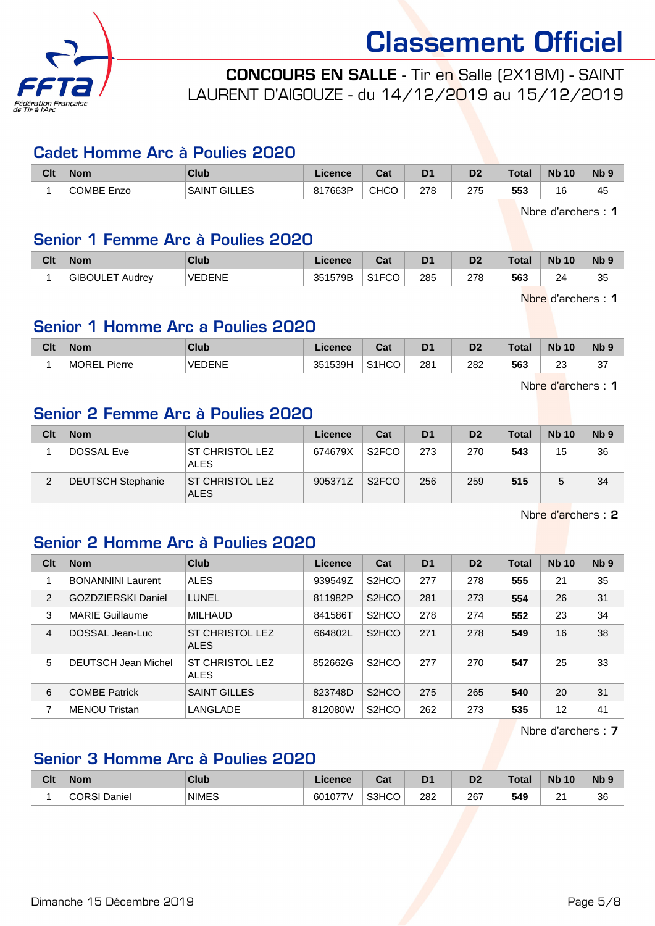

CONCOURS EN SALLE - Tir en Salle (2X18M) - SAINT LAURENT D'AIGOUZE - du 14/12/2019 au 15/12/2019

#### Cadet Homme Arc à Poulies 2020

| Clt | <b>Nom</b>              | <b>Club</b>                       | ∟icence | $R_{\rm{orb}}$<br>⊍aι | D <sub>1</sub> | D <sub>2</sub> | <b>Total</b> | <b>N<sub>b</sub></b><br>10 | <b>N<sub>b</sub></b> |
|-----|-------------------------|-----------------------------------|---------|-----------------------|----------------|----------------|--------------|----------------------------|----------------------|
|     | <b>ICOMBE F</b><br>Enzo | FS<br>GIL'<br><b>SAIN</b><br>---- | 817663P | <b>CHCO</b>           | 278<br>___     | 275<br>___     | 553          | 16                         | $\cdot$ $-$<br>45    |

Nbre d'archers : 1

#### Senior 1 Femme Arc à Poulies 2020

| Clt | <b>Nom</b>                | Club          | <b>Licence</b> | $R_{\rm{eff}}$<br>uai | D <sub>1</sub> | D <sub>2</sub> | <b>Total</b> | <b>Nb 10</b> | N <sub>b</sub> <sub>9</sub> |
|-----|---------------------------|---------------|----------------|-----------------------|----------------|----------------|--------------|--------------|-----------------------------|
|     | <b>GIBOULET</b><br>Audrev | <b>VEDENE</b> | 1579B<br>351   | S <sub>1</sub> FCO    | 285            | 278            | 563          | 24           | 35                          |

Nbre d'archers : 1

#### Senior 1 Homme Arc a Poulies 2020

| Clt | <b>Nom</b>            | Club          | icence  | ◠fi<br>va.         | D <sub>1</sub> | D <sub>2</sub> | <b>Total</b> | <b>Nb 10</b>           | <b>N<sub>b</sub></b> |
|-----|-----------------------|---------------|---------|--------------------|----------------|----------------|--------------|------------------------|----------------------|
|     | <b>MORE</b><br>Pierre | <b>VEDENE</b> | 351539H | S <sub>1</sub> HCO | 281            | 282<br>___     | 563          | $\sim$<br>∠∪<br>$\sim$ | $\sim$<br>ິ          |

Nbre d'archers : 1

#### Senior 2 Femme Arc à Poulies 2020

| Clt | <b>Nom</b>               | Club                                  | Licence | Cat                | D <sub>1</sub> | D <sub>2</sub> | <b>Total</b> | <b>Nb 10</b> | N <sub>b</sub> <sub>9</sub> |
|-----|--------------------------|---------------------------------------|---------|--------------------|----------------|----------------|--------------|--------------|-----------------------------|
|     | DOSSAL Eve               | <b>ST CHRISTOL LEZ</b><br><b>ALES</b> | 674679X | S <sub>2</sub> FCO | 273            | 270            | 543          | 15           | 36                          |
| c   | <b>DEUTSCH Stephanie</b> | <b>ST CHRISTOL LEZ</b><br><b>ALES</b> | 905371Z | S <sub>2</sub> FCO | 256            | 259            | 515          |              | 34                          |

Nbre d'archers : 2

#### Senior 2 Homme Arc à Poulies 2020

| Clt | <b>Nom</b>                 | Club                                  | Licence | Cat                            | D <sub>1</sub> | D <sub>2</sub> | <b>Total</b> | <b>Nb 10</b> | Nb <sub>9</sub> |
|-----|----------------------------|---------------------------------------|---------|--------------------------------|----------------|----------------|--------------|--------------|-----------------|
|     | <b>BONANNINI Laurent</b>   | <b>ALES</b>                           | 939549Z | S <sub>2</sub> HCO             | 277            | 278            | 555          | 21           | 35              |
| 2   | <b>GOZDZIERSKI Daniel</b>  | LUNEL                                 | 811982P | S <sub>2</sub> HCO             | 281            | 273            | 554          | 26           | 31              |
| 3   | <b>MARIE Guillaume</b>     | <b>MILHAUD</b>                        | 841586T | S <sub>2</sub> HCO             | 278            | 274            | 552          | 23           | 34              |
| 4   | DOSSAL Jean-Luc            | <b>ST CHRISTOL LEZ</b><br><b>ALES</b> | 664802L | S <sub>2</sub> HCO             | 271            | 278            | 549          | 16           | 38              |
| 5   | <b>DEUTSCH Jean Michel</b> | <b>ST CHRISTOL LEZ</b><br><b>ALES</b> | 852662G | S <sub>2</sub> H <sub>CO</sub> | 277            | 270            | 547          | 25           | 33              |
| 6   | <b>COMBE Patrick</b>       | <b>SAINT GILLES</b>                   | 823748D | S <sub>2</sub> HCO             | 275            | 265            | 540          | 20           | 31              |
| 7   | <b>MENOU Tristan</b>       | LANGLADE                              | 812080W | S <sub>2</sub> HCO             | 262            | 273            | 535          | 12           | 41              |

Nbre d'archers : 7

#### Senior 3 Homme Arc à Poulies 2020

| Clt | <b>Nom</b>             | <b>Club</b>  | Licence | r.,<br>⊍aι | D <sub>1</sub> | D <sub>0</sub><br>ש | <b>Total</b> | <b>Nb</b><br>10 | <b>Nb</b> |
|-----|------------------------|--------------|---------|------------|----------------|---------------------|--------------|-----------------|-----------|
|     | <b>CORSI</b><br>Daniel | <b>NIMES</b> | 601077V | S3HCO      | 282<br>$\sim$  | 267<br>__           | 549          | C.<br>-         | 36        |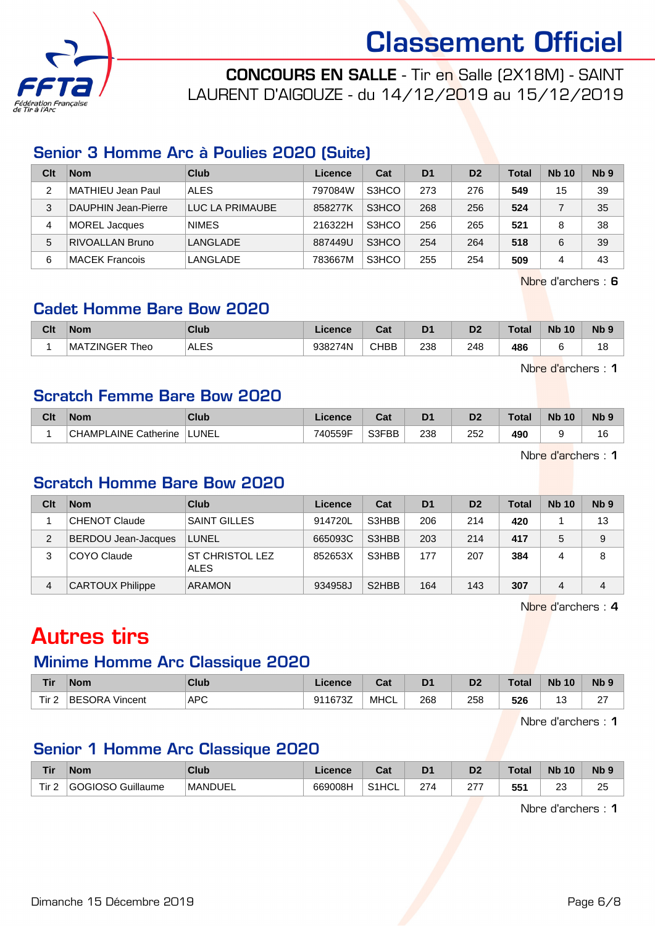

CONCOURS EN SALLE - Tir en Salle (2X18M) - SAINT LAURENT D'AIGOUZE - du 14/12/2019 au 15/12/2019

#### Senior 3 Homme Arc à Poulies 2020 (Suite)

| Clt | <b>Nom</b>             | Club            | Licence | Cat   | D <sub>1</sub> | D <sub>2</sub> | <b>Total</b> | <b>Nb 10</b> | N <sub>b</sub> <sub>9</sub> |
|-----|------------------------|-----------------|---------|-------|----------------|----------------|--------------|--------------|-----------------------------|
| 2   | MATHIEU Jean Paul      | <b>ALES</b>     | 797084W | S3HCO | 273            | 276            | 549          | 15           | 39                          |
| 3   | DAUPHIN Jean-Pierre    | LUC LA PRIMAUBE | 858277K | S3HCO | 268            | 256            | 524          |              | 35                          |
| 4   | MOREL Jacques          | <b>NIMES</b>    | 216322H | S3HCO | 256            | 265            | 521          |              | 38                          |
| 5   | <b>RIVOALLAN Bruno</b> | LANGLADE        | 887449U | S3HCO | 254            | 264            | 518          | 6            | 39                          |
| 6   | MACEK Francois         | LANGLADE        | 783667M | S3HCO | 255            | 254            | 509          | 4            | 43                          |

Nbre d'archers : 6

#### Cadet Homme Bare Bow 2020

| Clt | <b>Nom</b>                               | Club        | icence  | r.,<br>⊍a⊧  | D <sub>1</sub> | D <sub>2</sub> | Total | <b>Nb</b><br>, 10 | N <sub>b</sub> <sub>9</sub> |
|-----|------------------------------------------|-------------|---------|-------------|----------------|----------------|-------|-------------------|-----------------------------|
|     | <b>ZINGER</b><br>Theo<br>MA <sup>:</sup> | <b>ALES</b> | 938274N | <b>CHBB</b> | 238            | 248            | 486   |                   | 18                          |

Nbre d'archers : 1

#### Scratch Femme Bare Bow 2020

| Clt | <b>Nom</b>                          | <b>Club</b> | Licence | ∩~'<br>⊍aι | D <sub>1</sub> | D2          | <b>Total</b> | <b>Nb</b><br>10 | N <sub>b</sub> <sub>9</sub> |
|-----|-------------------------------------|-------------|---------|------------|----------------|-------------|--------------|-----------------|-----------------------------|
|     | _AINE<br><b>CHAMPL</b><br>Catherine | LUNEL       | 740559F | S3FBB      | 238<br>$\sim$  | 252<br>$ -$ | 490          |                 | 16                          |

Nbre d'archers : 1

#### Scratch Homme Bare Bow 2020

| Clt | <b>Nom</b>                 | Club                                  | Licence | Cat                            | D <sub>1</sub> | D <sub>2</sub> | Total | <b>Nb 10</b> | N <sub>b</sub> <sub>9</sub> |
|-----|----------------------------|---------------------------------------|---------|--------------------------------|----------------|----------------|-------|--------------|-----------------------------|
|     | <b>CHENOT Claude</b>       | <b>SAINT GILLES</b>                   | 914720L | S3HBB                          | 206            | 214            | 420   |              | 13                          |
| 2   | <b>BERDOU Jean-Jacques</b> | LUNEL                                 | 665093C | S3HBB                          | 203            | 214            | 417   | 5            | 9                           |
| 3   | COYO Claude                | <b>ST CHRISTOL LEZ</b><br><b>ALES</b> | 852653X | S3HBB                          | 177            | 207            | 384   | 4            | 8                           |
| 4   | <b>CARTOUX Philippe</b>    | <b>ARAMON</b>                         | 934958J | S <sub>2</sub> H <sub>BB</sub> | 164            | 143            | 307   | 4            | 4                           |

Nbre d'archers : 4

# Autres tirs

#### Minime Homme Arc Classique 2020

| <b>Tir</b> | <b>Nom</b>            | <b>Club</b> | Licence | ו ה<br>⊍a   | D <sub>1</sub> | D <sub>2</sub> | <b>Total</b>    | <b>Nb 10</b>                  | <b>N<sub>b</sub></b> |
|------------|-----------------------|-------------|---------|-------------|----------------|----------------|-----------------|-------------------------------|----------------------|
| Tir.       | <b>BESORA Vincent</b> | <b>APC</b>  | 911673Z | <b>MHCL</b> | 268<br>- -     | 258<br>__      | 526<br><u>—</u> | $\overline{\phantom{a}}$<br>ັ | $\sim$<br>-          |

Nbre d'archers : 1

## Senior 1 Homme Arc Classique 2020

| <b>Tir</b>   | <b>Nom</b>        | <b>Club</b>    | <b>Licence</b> | $F - F$<br>⊍d | D <sup>1</sup>  | n <sub>o</sub><br>D7 | Tota | <b>Nb</b><br>10   | $Nb$ $9$      |
|--------------|-------------------|----------------|----------------|---------------|-----------------|----------------------|------|-------------------|---------------|
| $-$<br>∣ır 2 | GOGIOSO Guillaume | <b>MANDUEL</b> | 669008H        | S1HCL         | 27 <sub>0</sub> | ־ר<br><u>_ 1</u>     | 551  | $\sim$<br>∠<br>__ | ገር<br>∠<br>__ |

Nbre d'archers : 1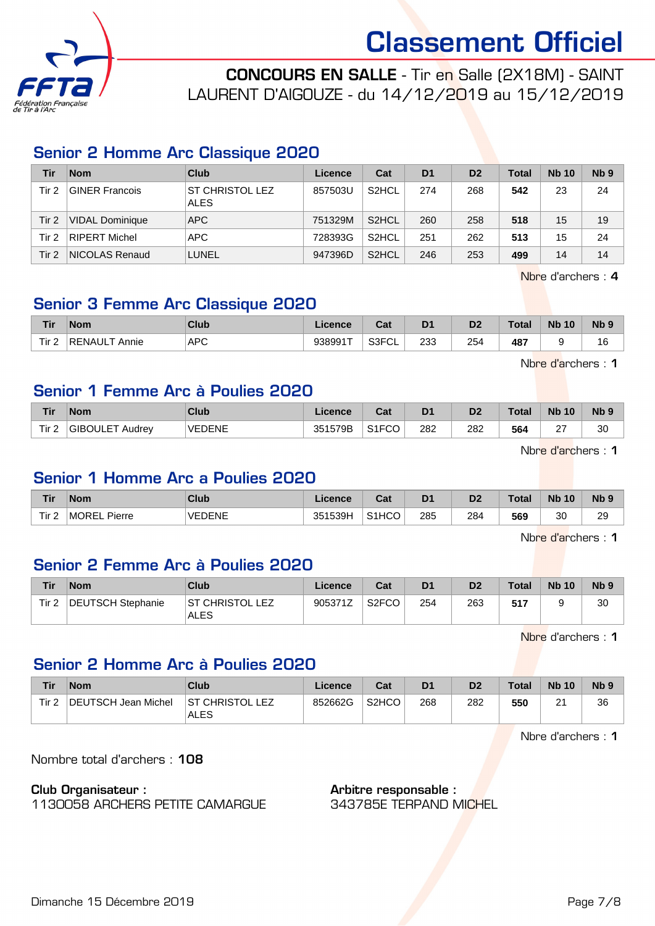

CONCOURS EN SALLE - Tir en Salle (2X18M) - SAINT LAURENT D'AIGOUZE - du 14/12/2019 au 15/12/2019

## Senior 2 Homme Arc Classique 2020

| Tir      | <b>Nom</b>            | Club                           | Licence | Cat                | D <sub>1</sub> | D <sub>2</sub> | <b>Total</b> | <b>Nb 10</b> | N <sub>b</sub> <sub>9</sub> |
|----------|-----------------------|--------------------------------|---------|--------------------|----------------|----------------|--------------|--------------|-----------------------------|
| Tir 2    | <b>GINER Francois</b> | ST CHRISTOL LEZ<br><b>ALES</b> | 857503U | S <sub>2</sub> HCL | 274            | 268            | 542          | 23           | 24                          |
| $T$ ir 2 | VIDAL Dominique       | APC                            | 751329M | S <sub>2</sub> HCL | 260            | 258            | 518          | 15           | 19                          |
| Tir 2    | RIPERT Michel         | APC                            | 728393G | S <sub>2</sub> HCL | 251            | 262            | 513          | 15           | 24                          |
| Tir 2    | NICOLAS Renaud        | LUNEL                          | 947396D | S <sub>2</sub> HCL | 246            | 253            | 499          | 14           | 14                          |

Nbre d'archers : 4

#### Senior 3 Femme Arc Classique 2020

| <b>Tir</b> | <b>Nom</b>             | <b>Club</b>          | icence  | <b>Cat</b><br>ναι | D <sub>1</sub> | D <sub>2</sub> | Total                | <b>N<sub>b</sub></b><br>10 | <b>Nb</b>         |
|------------|------------------------|----------------------|---------|-------------------|----------------|----------------|----------------------|----------------------------|-------------------|
| Tir 2      | <b>RENAUL</b><br>Annie | <b>APC</b><br>$\sim$ | 938991T | S3FCL             | 233<br>__      | 254<br>__      | 487<br>$\sim$ $\sim$ |                            | י<br>ιc<br>$\sim$ |

Nbre d'archers : 1

#### Senior 1 Femme Arc à Poulies 2020

| <b>Tir</b>       | <b>Nom</b>                | Club          | <b>Licence</b> | ่ ^^+<br>ual       | D1  | D2  | Total | <b>N<sub>b</sub></b><br>10 | Nb <sub>9</sub> |
|------------------|---------------------------|---------------|----------------|--------------------|-----|-----|-------|----------------------------|-----------------|
| Tir <sub>2</sub> | <b>GIBOULET</b><br>Audrev | <b>VEDENE</b> | 351579B        | S <sub>1</sub> FCO | 282 | 282 | 564   | $\sim$<br>∠                | 30              |

Nbre d'archers : 1

#### Senior 1 Homme Arc a Poulies 2020

| <b>Tir</b> | <b>Nom</b>             | Club          | <b>Licence</b> | ◠∼<br>ual          | D <sub>1</sub> | D <sub>2</sub> | <b>Total</b> | 10<br><b>Nb</b> | N <sub>b</sub> <sub>9</sub> |
|------------|------------------------|---------------|----------------|--------------------|----------------|----------------|--------------|-----------------|-----------------------------|
| Tir 2      | <b>MOREL</b><br>Pierre | <b>VEDENE</b> | 351539H        | S <sub>1</sub> HCO | 285            | 284            | 569          | 30              | 29<br>__                    |

Nbre d'archers : 1

#### Senior 2 Femme Arc à Poulies 2020

| Tir              | <b>Nom</b>        | Club                     | Licence | Cat                | D <sub>1</sub> | D <sub>2</sub> | <b>Total</b> | <b>Nb 10</b> | N <sub>b</sub> <sub>9</sub> |
|------------------|-------------------|--------------------------|---------|--------------------|----------------|----------------|--------------|--------------|-----------------------------|
| Tir <sub>2</sub> | DEUTSCH Stephanie | IST CHRISTOL LEZ<br>ALES | 905371Z | S <sub>2</sub> FCO | 254            | 263            | 517          |              | 30                          |

Nbre d'archers : 1

#### Senior 2 Homme Arc à Poulies 2020

| Tir   | <b>Nom</b>          | Club                           | Licence | Cat                | D1  | D <sub>2</sub> | <b>Total</b> | <b>Nb 10</b>  | Nb <sub>9</sub> |
|-------|---------------------|--------------------------------|---------|--------------------|-----|----------------|--------------|---------------|-----------------|
| Tir 2 | DEUTSCH Jean Michel | <b>ST CHRISTOL LEZ</b><br>ALES | 852662G | S <sub>2</sub> HCO | 268 | 282            | 550          | ິ<br><u>.</u> | 36              |

Nbre d'archers : 1

Nombre total d'archers : 108

#### Club Organisateur :

1130058 ARCHERS PETITE CAMARGUE

Arbitre responsable : 343785E TERPAND MICHEL